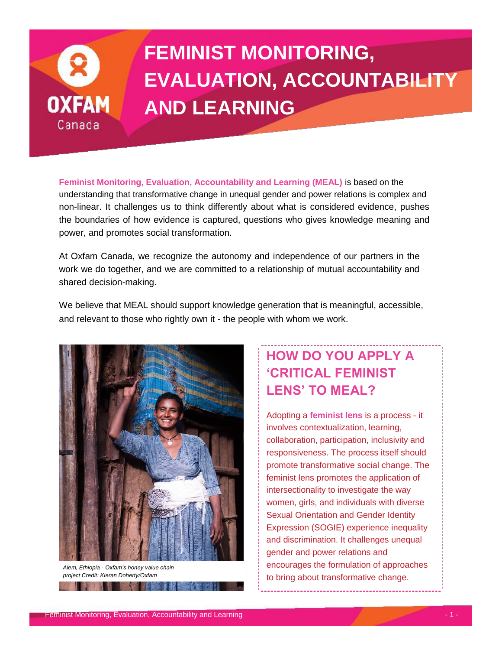

# **FEMINIST MONITORING, EVALUATION, ACCOUNTABILITY AND LEARNING**

**Feminist Monitoring, Evaluation, Accountability and Learning (MEAL)** is based on the understanding that transformative change in unequal gender and power relations is complex and non-linear. It challenges us to think differently about what is considered evidence, pushes the boundaries of how evidence is captured, questions who gives knowledge meaning and power, and promotes social transformation.

At Oxfam Canada, we recognize the autonomy and independence of our partners in the work we do together, and we are committed to a relationship of mutual accountability and shared decision-making.

We believe that MEAL should support knowledge generation that is meaningful, accessible, and relevant to those who rightly own it - the people with whom we work.



*Alem, Ethiopia - Oxfam's honey value chain project Credit: Kieran Doherty/Oxfam* **A TANK AND STATE** 

## **HOW DO YOU APPLY A 'CRITICAL FEMINIST LENS' TO MEAL?**

Adopting a **feminist lens** is a process - it involves contextualization, learning, collaboration, participation, inclusivity and responsiveness. The process itself should promote transformative social change. The feminist lens promotes the application of intersectionality to investigate the way women, girls, and individuals with diverse Sexual Orientation and Gender Identity Expression (SOGIE) experience inequality and discrimination. It challenges unequal gender and power relations and encourages the formulation of approaches to bring about transformative change.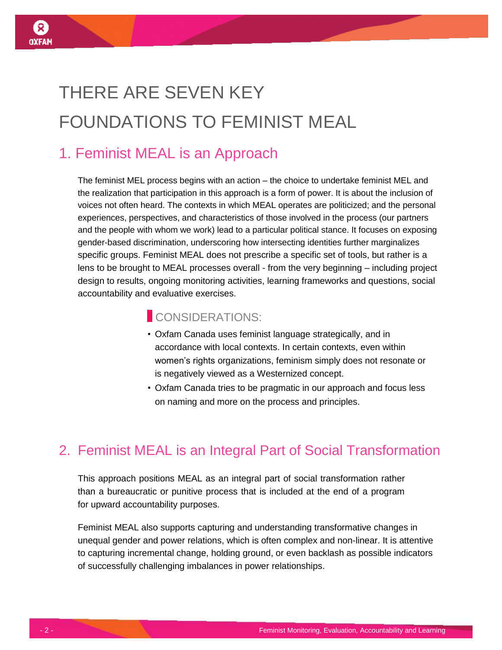# THERE ARE SEVEN KEY FOUNDATIONS TO FEMINIST MEAL

## 1. Feminist MEAL is an Approach

The feminist MEL process begins with an action – the choice to undertake feminist MEL and the realization that participation in this approach is a form of power. It is about the inclusion of voices not often heard. The contexts in which MEAL operates are politicized; and the personal experiences, perspectives, and characteristics of those involved in the process (our partners and the people with whom we work) lead to a particular political stance. It focuses on exposing gender-based discrimination, underscoring how intersecting identities further marginalizes specific groups. Feminist MEAL does not prescribe a specific set of tools, but rather is a lens to be brought to MEAL processes overall - from the very beginning – including project design to results, ongoing monitoring activities, learning frameworks and questions, social accountability and evaluative exercises.

#### **CONSIDERATIONS**

- Oxfam Canada uses feminist language strategically, and in accordance with local contexts. In certain contexts, even within women's rights organizations, feminism simply does not resonate or is negatively viewed as a Westernized concept.
- Oxfam Canada tries to be pragmatic in our approach and focus less on naming and more on the process and principles.

## 2. Feminist MEAL is an Integral Part of Social Transformation

This approach positions MEAL as an integral part of social transformation rather than a bureaucratic or punitive process that is included at the end of a program for upward accountability purposes.

Feminist MEAL also supports capturing and understanding transformative changes in unequal gender and power relations, which is often complex and non-linear. It is attentive to capturing incremental change, holding ground, or even backlash as possible indicators of successfully challenging imbalances in power relationships.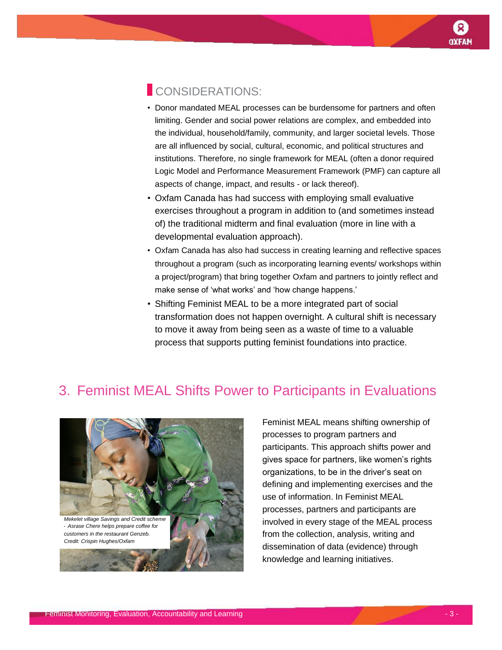#### CONSIDERATIONS:

- Donor mandated MEAL processes can be burdensome for partners and often limiting. Gender and social power relations are complex, and embedded into the individual, household/family, community, and larger societal levels. Those are all influenced by social, cultural, economic, and political structures and institutions. Therefore, no single framework for MEAL (often a donor required Logic Model and Performance Measurement Framework (PMF) can capture all aspects of change, impact, and results - or lack thereof).
- Oxfam Canada has had success with employing small evaluative exercises throughout a program in addition to (and sometimes instead of) the traditional midterm and final evaluation (more in line with a developmental evaluation approach).
- Oxfam Canada has also had success in creating learning and reflective spaces throughout a program (such as incorporating learning events/ workshops within a project/program) that bring together Oxfam and partners to jointly reflect and make sense of 'what works' and 'how change happens.'
- Shifting Feminist MEAL to be a more integrated part of social transformation does not happen overnight. A cultural shift is necessary to move it away from being seen as a waste of time to a valuable process that supports putting feminist foundations into practice.

## 3. Feminist MEAL Shifts Power to Participants in Evaluations



Feminist MEAL means shifting ownership of processes to program partners and participants. This approach shifts power and gives space for partners, like women's rights organizations, to be in the driver's seat on defining and implementing exercises and the use of information. In Feminist MEAL processes, partners and participants are involved in every stage of the MEAL process from the collection, analysis, writing and dissemination of data (evidence) through knowledge and learning initiatives.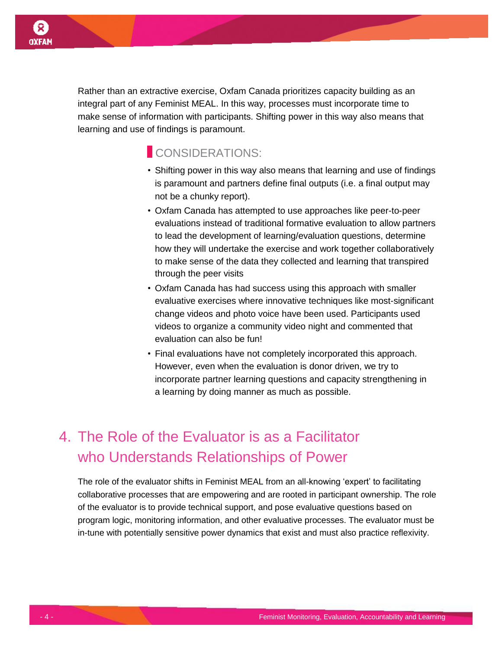Rather than an extractive exercise, Oxfam Canada prioritizes capacity building as an integral part of any Feminist MEAL. In this way, processes must incorporate time to make sense of information with participants. Shifting power in this way also means that learning and use of findings is paramount.

### CONSIDERATIONS:

- Shifting power in this way also means that learning and use of findings is paramount and partners define final outputs (i.e. a final output may not be a chunky report).
- Oxfam Canada has attempted to use approaches like peer-to-peer evaluations instead of traditional formative evaluation to allow partners to lead the development of learning/evaluation questions, determine how they will undertake the exercise and work together collaboratively to make sense of the data they collected and learning that transpired through the peer visits
- Oxfam Canada has had success using this approach with smaller evaluative exercises where innovative techniques like most-significant change videos and photo voice have been used. Participants used videos to organize a community video night and commented that evaluation can also be fun!
- Final evaluations have not completely incorporated this approach. However, even when the evaluation is donor driven, we try to incorporate partner learning questions and capacity strengthening in a learning by doing manner as much as possible.

## 4. The Role of the Evaluator is as a Facilitator who Understands Relationships of Power

The role of the evaluator shifts in Feminist MEAL from an all-knowing 'expert' to facilitating collaborative processes that are empowering and are rooted in participant ownership. The role of the evaluator is to provide technical support, and pose evaluative questions based on program logic, monitoring information, and other evaluative processes. The evaluator must be in-tune with potentially sensitive power dynamics that exist and must also practice reflexivity.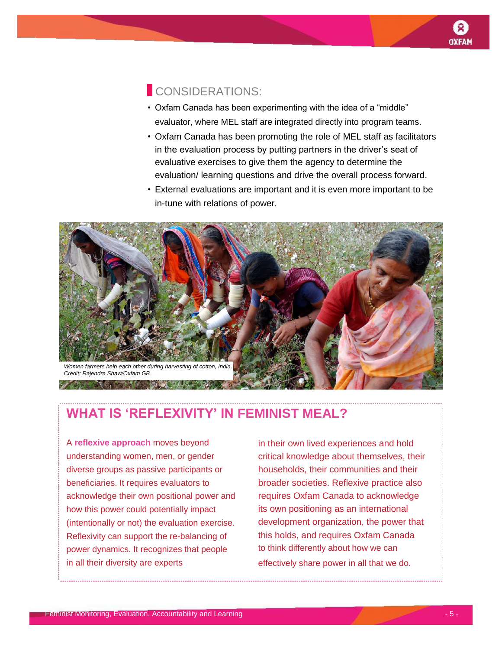#### CONSIDERATIONS:

- Oxfam Canada has been experimenting with the idea of a "middle" evaluator, where MEL staff are integrated directly into program teams.
- Oxfam Canada has been promoting the role of MEL staff as facilitators in the evaluation process by putting partners in the driver's seat of evaluative exercises to give them the agency to determine the evaluation/ learning questions and drive the overall process forward.
- External evaluations are important and it is even more important to be in-tune with relations of power.



## **WHAT IS 'REFLEXIVITY' IN FEMINIST MEAL?**

A **reflexive approach** moves beyond understanding women, men, or gender diverse groups as passive participants or beneficiaries. It requires evaluators to acknowledge their own positional power and how this power could potentially impact (intentionally or not) the evaluation exercise. Reflexivity can support the re-balancing of power dynamics. It recognizes that people in all their diversity are experts

in their own lived experiences and hold critical knowledge about themselves, their households, their communities and their broader societies. Reflexive practice also requires Oxfam Canada to acknowledge its own positioning as an international development organization, the power that this holds, and requires Oxfam Canada to think differently about how we can effectively share power in all that we do.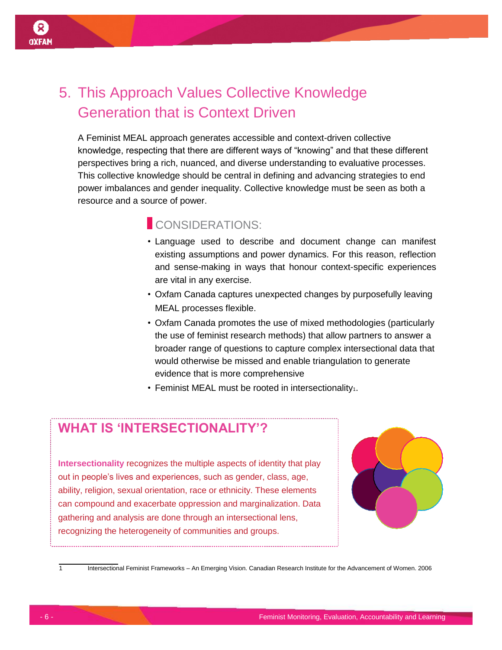# 5. This Approach Values Collective Knowledge Generation that is Context Driven

A Feminist MEAL approach generates accessible and context-driven collective knowledge, respecting that there are different ways of "knowing" and that these different perspectives bring a rich, nuanced, and diverse understanding to evaluative processes. This collective knowledge should be central in defining and advancing strategies to end power imbalances and gender inequality. Collective knowledge must be seen as both a resource and a source of power.

#### CONSIDERATIONS:

- Language used to describe and document change can manifest existing assumptions and power dynamics. For this reason, reflection and sense-making in ways that honour context-specific experiences are vital in any exercise.
- Oxfam Canada captures unexpected changes by purposefully leaving MEAL processes flexible.
- Oxfam Canada promotes the use of mixed methodologies (particularly the use of feminist research methods) that allow partners to answer a broader range of questions to capture complex intersectional data that would otherwise be missed and enable triangulation to generate evidence that is more comprehensive
- $\cdot$  Feminist MEAL must be rooted in intersectionality<sub>1</sub>.

#### **WHAT IS 'INTERSECTIONALITY'?**

**Intersectionality** recognizes the multiple aspects of identity that play out in people's lives and experiences, such as gender, class, age, ability, religion, sexual orientation, race or ethnicity. These elements can compound and exacerbate oppression and marginalization. Data gathering and analysis are done through an intersectional lens, recognizing the heterogeneity of communities and groups.



1 Intersectional Feminist Frameworks – An Emerging Vision. Canadian Research Institute for the Advancement of Women. 2006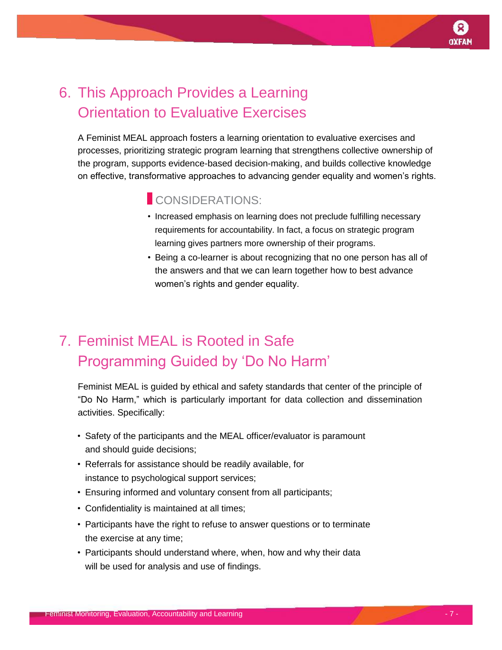# 6. This Approach Provides a Learning Orientation to Evaluative Exercises

A Feminist MEAL approach fosters a learning orientation to evaluative exercises and processes, prioritizing strategic program learning that strengthens collective ownership of the program, supports evidence-based decision-making, and builds collective knowledge on effective, transformative approaches to advancing gender equality and women's rights.

### CONSIDERATIONS:

- Increased emphasis on learning does not preclude fulfilling necessary requirements for accountability. In fact, a focus on strategic program learning gives partners more ownership of their programs.
- Being a co-learner is about recognizing that no one person has all of the answers and that we can learn together how to best advance women's rights and gender equality.

# 7. Feminist MEAL is Rooted in Safe Programming Guided by 'Do No Harm'

Feminist MEAL is guided by ethical and safety standards that center of the principle of "Do No Harm," which is particularly important for data collection and dissemination activities. Specifically:

- Safety of the participants and the MEAL officer/evaluator is paramount and should guide decisions;
- Referrals for assistance should be readily available, for instance to psychological support services;
- Ensuring informed and voluntary consent from all participants;
- Confidentiality is maintained at all times;
- Participants have the right to refuse to answer questions or to terminate the exercise at any time;
- Participants should understand where, when, how and why their data will be used for analysis and use of findings.